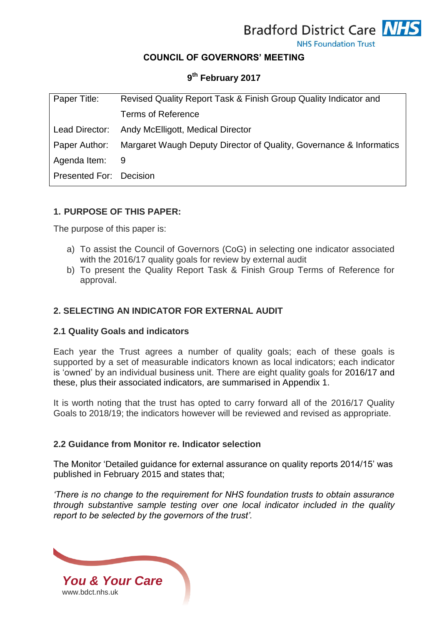**Bradford District Care NHS** 

**NHS Foundation Trust** 

### **COUNCIL OF GOVERNORS' MEETING**

# **9 th February 2017**

| Paper Title:            | Revised Quality Report Task & Finish Group Quality Indicator and    |
|-------------------------|---------------------------------------------------------------------|
|                         | <b>Terms of Reference</b>                                           |
| Lead Director:          | Andy McElligott, Medical Director                                   |
| Paper Author:           | Margaret Waugh Deputy Director of Quality, Governance & Informatics |
| Agenda Item:            | - 9                                                                 |
| Presented For: Decision |                                                                     |

### **1. PURPOSE OF THIS PAPER:**

The purpose of this paper is:

- a) To assist the Council of Governors (CoG) in selecting one indicator associated with the 2016/17 quality goals for review by external audit
- b) To present the Quality Report Task & Finish Group Terms of Reference for approval.

### **2. SELECTING AN INDICATOR FOR EXTERNAL AUDIT**

#### **2.1 Quality Goals and indicators**

Each year the Trust agrees a number of quality goals; each of these goals is supported by a set of measurable indicators known as local indicators; each indicator is 'owned' by an individual business unit. There are eight quality goals for 2016/17 and these, plus their associated indicators, are summarised in Appendix 1.

It is worth noting that the trust has opted to carry forward all of the 2016/17 Quality Goals to 2018/19; the indicators however will be reviewed and revised as appropriate.

#### **2.2 Guidance from Monitor re. Indicator selection**

The Monitor 'Detailed guidance for external assurance on quality reports 2014/15' was published in February 2015 and states that;

*'There is no change to the requirement for NHS foundation trusts to obtain assurance through substantive sample testing over one local indicator included in the quality report to be selected by the governors of the trust'.*

*You & Your Care* [www.bdct.nhs.uk](http://www.bdct.nhs.uk/)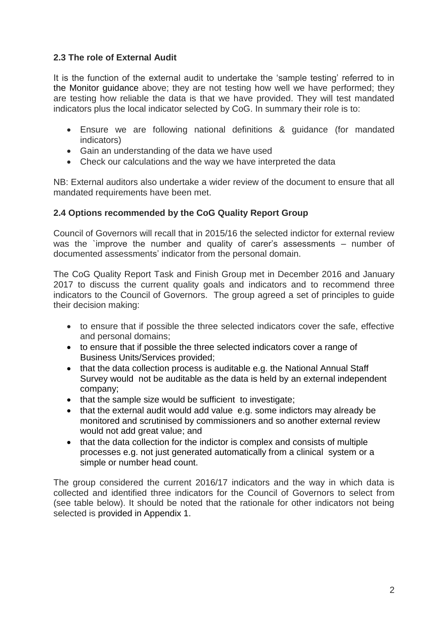# **2.3 The role of External Audit**

It is the function of the external audit to undertake the 'sample testing' referred to in the Monitor guidance above; they are not testing how well we have performed; they are testing how reliable the data is that we have provided. They will test mandated indicators plus the local indicator selected by CoG. In summary their role is to:

- Ensure we are following national definitions & guidance (for mandated indicators)
- Gain an understanding of the data we have used
- Check our calculations and the way we have interpreted the data

NB: External auditors also undertake a wider review of the document to ensure that all mandated requirements have been met.

### **2.4 Options recommended by the CoG Quality Report Group**

Council of Governors will recall that in 2015/16 the selected indictor for external review was the `improve the number and quality of carer's assessments – number of documented assessments' indicator from the personal domain.

The CoG Quality Report Task and Finish Group met in December 2016 and January 2017 to discuss the current quality goals and indicators and to recommend three indicators to the Council of Governors. The group agreed a set of principles to guide their decision making:

- to ensure that if possible the three selected indicators cover the safe, effective and personal domains;
- to ensure that if possible the three selected indicators cover a range of Business Units/Services provided;
- that the data collection process is auditable e.g. the National Annual Staff Survey would not be auditable as the data is held by an external independent company;
- that the sample size would be sufficient to investigate;
- that the external audit would add value e.g. some indictors may already be monitored and scrutinised by commissioners and so another external review would not add great value; and
- that the data collection for the indictor is complex and consists of multiple processes e.g. not just generated automatically from a clinical system or a simple or number head count.

The group considered the current 2016/17 indicators and the way in which data is collected and identified three indicators for the Council of Governors to select from (see table below). It should be noted that the rationale for other indicators not being selected is provided in Appendix 1.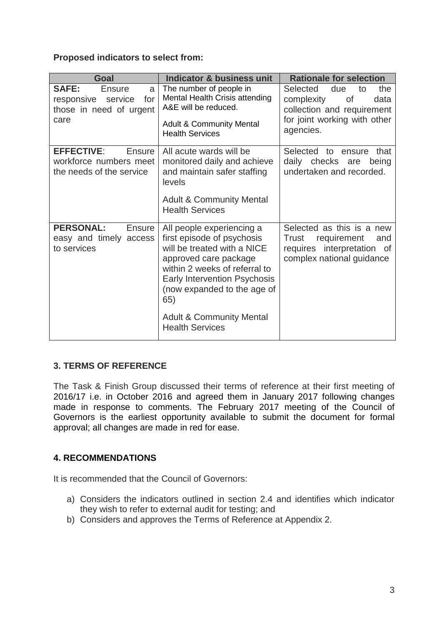### **Proposed indicators to select from:**

| Goal                                                                                          | <b>Indicator &amp; business unit</b>                                                                                                                                                                                                                                                           | <b>Rationale for selection</b>                                                                                      |
|-----------------------------------------------------------------------------------------------|------------------------------------------------------------------------------------------------------------------------------------------------------------------------------------------------------------------------------------------------------------------------------------------------|---------------------------------------------------------------------------------------------------------------------|
| <b>SAFE:</b><br><b>Ensure</b><br>a<br>for<br>responsive<br>service<br>those in need of urgent | The number of people in<br>Mental Health Crisis attending<br>A&E will be reduced.                                                                                                                                                                                                              | Selected<br>due<br>the<br>to<br>complexity<br>0f<br>data<br>collection and requirement                              |
| care                                                                                          | <b>Adult &amp; Community Mental</b><br><b>Health Services</b>                                                                                                                                                                                                                                  | for joint working with other<br>agencies.                                                                           |
| <b>EFFECTIVE:</b><br><b>Ensure</b><br>workforce numbers meet<br>the needs of the service      | All acute wards will be<br>monitored daily and achieve<br>and maintain safer staffing<br>levels<br><b>Adult &amp; Community Mental</b><br><b>Health Services</b>                                                                                                                               | Selected to ensure<br>that<br>daily checks are<br>being<br>undertaken and recorded.                                 |
| <b>PERSONAL:</b><br>Ensure<br>easy and timely<br>access<br>to services                        | All people experiencing a<br>first episode of psychosis<br>will be treated with a NICE<br>approved care package<br>within 2 weeks of referral to<br><b>Early Intervention Psychosis</b><br>(now expanded to the age of<br>65)<br><b>Adult &amp; Community Mental</b><br><b>Health Services</b> | Selected as this is a new<br>requirement<br>Trust<br>and<br>requires interpretation of<br>complex national guidance |

# **3. TERMS OF REFERENCE**

The Task & Finish Group discussed their terms of reference at their first meeting of 2016/17 i.e. in October 2016 and agreed them in January 2017 following changes made in response to comments. The February 2017 meeting of the Council of Governors is the earliest opportunity available to submit the document for formal approval; all changes are made in red for ease.

# **4. RECOMMENDATIONS**

It is recommended that the Council of Governors:

- a) Considers the indicators outlined in section 2.4 and identifies which indicator they wish to refer to external audit for testing; and
- b) Considers and approves the Terms of Reference at Appendix 2.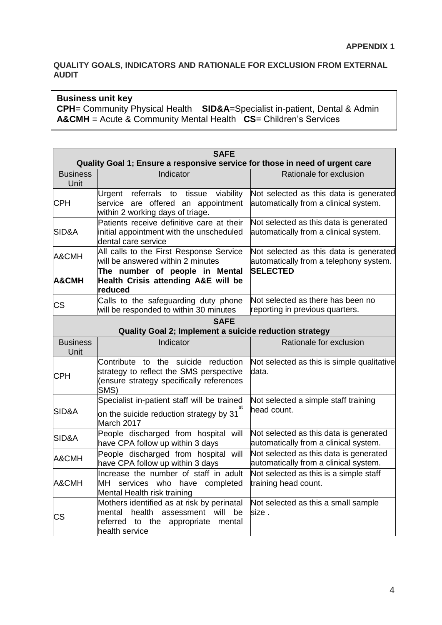### **QUALITY GOALS, INDICATORS AND RATIONALE FOR EXCLUSION FROM EXTERNAL AUDIT**

#### **Business unit key**

**CPH**= Community Physical Health **SID&A**=Specialist in-patient, Dental & Admin **A&CMH** = Acute & Community Mental Health **CS**= Children's Services

| <b>SAFE</b>             |                                                                                                                                                       |                                                                                  |  |
|-------------------------|-------------------------------------------------------------------------------------------------------------------------------------------------------|----------------------------------------------------------------------------------|--|
|                         | Quality Goal 1; Ensure a responsive service for those in need of urgent care                                                                          |                                                                                  |  |
| <b>Business</b><br>Unit | Indicator                                                                                                                                             | Rationale for exclusion                                                          |  |
| <b>CPH</b>              | Urgent referrals to tissue<br>viability<br>service are offered an appointment<br>within 2 working days of triage.                                     | Not selected as this data is generated<br>automatically from a clinical system.  |  |
| SID&A                   | Patients receive definitive care at their<br>initial appointment with the unscheduled<br>dental care service                                          | Not selected as this data is generated<br>automatically from a clinical system.  |  |
| A&CMH                   | All calls to the First Response Service<br>will be answered within 2 minutes                                                                          | Not selected as this data is generated<br>automatically from a telephony system. |  |
| <b>A&amp;CMH</b>        | The number of people in Mental<br>Health Crisis attending A&E will be<br>reduced                                                                      | <b>SELECTED</b>                                                                  |  |
| <b>CS</b>               | Calls to the safeguarding duty phone<br>will be responded to within 30 minutes                                                                        | Not selected as there has been no<br>reporting in previous quarters.             |  |
|                         | <b>SAFE</b><br>Quality Goal 2; Implement a suicide reduction strategy                                                                                 |                                                                                  |  |
| <b>Business</b><br>Unit | Indicator                                                                                                                                             | Rationale for exclusion                                                          |  |
| <b>CPH</b>              | Contribute to the suicide reduction<br>strategy to reflect the SMS perspective<br>(ensure strategy specifically references<br>SMS)                    | Not selected as this is simple qualitative<br>data.                              |  |
| SID&A                   | Specialist in-patient staff will be trained<br>on the suicide reduction strategy by 31<br>March 2017                                                  | Not selected a simple staff training<br>head count.                              |  |
| SID&A                   | People discharged from hospital<br>will<br>have CPA follow up within 3 days                                                                           | Not selected as this data is generated<br>automatically from a clinical system.  |  |
| A&CMH                   | will<br>People discharged from hospital<br>have CPA follow up within 3 days                                                                           | Not selected as this data is generated<br>automatically from a clinical system.  |  |
| A&CMH                   | Increase the number of staff in adult<br>MH services who have completed<br>Mental Health risk training                                                | Not selected as this is a simple staff<br>training head count.                   |  |
| CS                      | Mothers identified as at risk by perinatal<br>health<br>assessment will<br>mental<br>be<br>referred to the<br>appropriate<br>mental<br>health service | Not selected as this a small sample<br>size.                                     |  |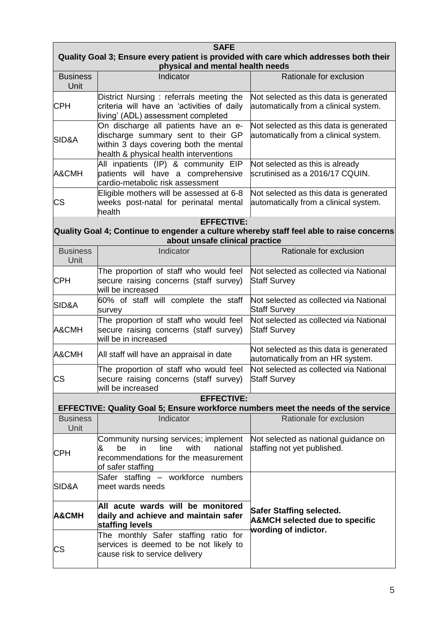| <b>SAFE</b><br>Quality Goal 3; Ensure every patient is provided with care which addresses both their<br>physical and mental health needs |                                                                                                                                                                |                                                                                                      |
|------------------------------------------------------------------------------------------------------------------------------------------|----------------------------------------------------------------------------------------------------------------------------------------------------------------|------------------------------------------------------------------------------------------------------|
| <b>Business</b><br>Unit                                                                                                                  | Indicator                                                                                                                                                      | Rationale for exclusion                                                                              |
| <b>CPH</b>                                                                                                                               | District Nursing : referrals meeting the<br>criteria will have an 'activities of daily<br>living' (ADL) assessment completed                                   | Not selected as this data is generated<br>automatically from a clinical system.                      |
| SID&A                                                                                                                                    | On discharge all patients have an e-<br>discharge summary sent to their GP<br>within 3 days covering both the mental<br>health & physical health interventions | Not selected as this data is generated<br>automatically from a clinical system.                      |
| A&CMH                                                                                                                                    | All inpatients (IP) & community EIP<br>patients will have a comprehensive<br>cardio-metabolic risk assessment                                                  | Not selected as this is already<br>scrutinised as a 2016/17 CQUIN.                                   |
| CS                                                                                                                                       | Eligible mothers will be assessed at 6-8<br>weeks post-natal for perinatal mental<br>health                                                                    | Not selected as this data is generated<br>automatically from a clinical system.                      |
|                                                                                                                                          | <b>EFFECTIVE:</b><br>Quality Goal 4; Continue to engender a culture whereby staff feel able to raise concerns<br>about unsafe clinical practice                |                                                                                                      |
| <b>Business</b><br>Unit                                                                                                                  | Indicator                                                                                                                                                      | Rationale for exclusion                                                                              |
| <b>CPH</b>                                                                                                                               | The proportion of staff who would feel<br>secure raising concerns (staff survey)<br>will be increased                                                          | Not selected as collected via National<br><b>Staff Survey</b>                                        |
| SID&A                                                                                                                                    | 60% of staff will complete the staff<br>survey                                                                                                                 | Not selected as collected via National<br><b>Staff Survey</b>                                        |
| A&CMH                                                                                                                                    | The proportion of staff who would feel<br>secure raising concerns (staff survey)<br>will be in increased                                                       | Not selected as collected via National<br><b>Staff Survey</b>                                        |
| A&CMH                                                                                                                                    | All staff will have an appraisal in date                                                                                                                       | Not selected as this data is generated<br>automatically from an HR system.                           |
| CS                                                                                                                                       | The proportion of staff who would feel<br>secure raising concerns (staff survey) Staff Survey<br>will be increased                                             | Not selected as collected via National                                                               |
|                                                                                                                                          | <b>EFFECTIVE:</b><br>EFFECTIVE: Quality Goal 5; Ensure workforce numbers meet the needs of the service                                                         |                                                                                                      |
| <b>Business</b><br>Unit                                                                                                                  | Indicator                                                                                                                                                      | Rationale for exclusion                                                                              |
| CPH                                                                                                                                      | Community nursing services; implement<br>line<br>be<br>in<br>with<br>national<br>&<br>recommendations for the measurement<br>of safer staffing                 | Not selected as national guidance on<br>staffing not yet published.                                  |
| SID&A                                                                                                                                    | Safer staffing - workforce numbers<br>meet wards needs                                                                                                         |                                                                                                      |
| A&CMH                                                                                                                                    | All acute wards will be monitored<br>daily and achieve and maintain safer<br>staffing levels                                                                   | <b>Safer Staffing selected.</b><br><b>A&amp;MCH selected due to specific</b><br>wording of indictor. |
| СS                                                                                                                                       | The monthly Safer staffing ratio for<br>services is deemed to be not likely to<br>cause risk to service delivery                                               |                                                                                                      |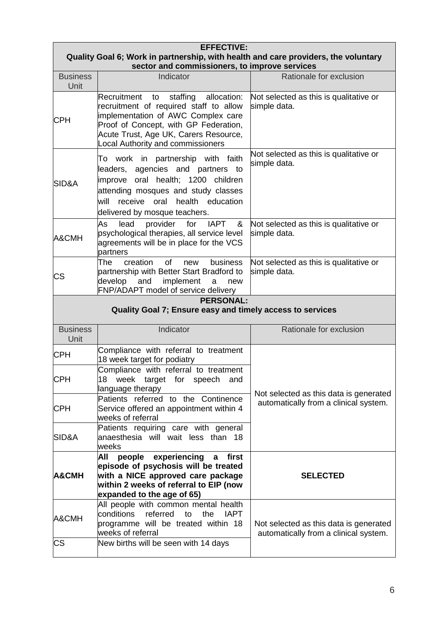| <b>EFFECTIVE:</b><br>Quality Goal 6; Work in partnership, with health and care providers, the voluntary<br>sector and commissioners, to improve services |                                                                                                                                                                                                                                                         |                                                                                 |
|----------------------------------------------------------------------------------------------------------------------------------------------------------|---------------------------------------------------------------------------------------------------------------------------------------------------------------------------------------------------------------------------------------------------------|---------------------------------------------------------------------------------|
| <b>Business</b><br>Unit                                                                                                                                  | Indicator                                                                                                                                                                                                                                               | Rationale for exclusion                                                         |
| CPH                                                                                                                                                      | staffing allocation:<br>Recruitment<br>to<br>recruitment of required staff to allow<br>implementation of AWC Complex care<br>Proof of Concept, with GP Federation,<br>Acute Trust, Age UK, Carers Resource,<br><b>Local Authority and commissioners</b> | Not selected as this is qualitative or<br>simple data.                          |
| SID&A                                                                                                                                                    | work in partnership with faith<br>To<br>leaders, agencies and partners to<br>oral health; 1200 children<br>improve<br>attending mosques and study classes<br>receive<br>oral<br>health education<br>will<br>delivered by mosque teachers.               | Not selected as this is qualitative or<br>simple data.                          |
| A&CMH                                                                                                                                                    | lead<br>provider<br>for<br><b>IAPT</b><br>&<br>As<br>psychological therapies, all service level<br>agreements will be in place for the VCS<br>partners                                                                                                  | Not selected as this is qualitative or<br>simple data.                          |
| CS                                                                                                                                                       | creation<br>of<br>The<br><b>business</b><br>new<br>partnership with Better Start Bradford to<br>implement<br>develop<br>and<br>a<br>new<br>FNP/ADAPT model of service delivery                                                                          | Not selected as this is qualitative or<br>simple data.                          |
|                                                                                                                                                          | <b>PERSONAL:</b><br>Quality Goal 7; Ensure easy and timely access to services                                                                                                                                                                           |                                                                                 |
| <b>Business</b><br>Unit                                                                                                                                  | Indicator                                                                                                                                                                                                                                               | Rationale for exclusion                                                         |
| <b>CPH</b>                                                                                                                                               | Compliance with referral to treatment<br>18 week target for podiatry                                                                                                                                                                                    |                                                                                 |
| <b>CPH</b>                                                                                                                                               | Compliance with referral to treatment<br>18<br>week target for speech<br>and<br>language therapy                                                                                                                                                        | Not selected as this data is generated                                          |
| <b>CPH</b>                                                                                                                                               | Patients referred to the Continence<br>Service offered an appointment within 4<br>weeks of referral                                                                                                                                                     | automatically from a clinical system.                                           |
| SID&A                                                                                                                                                    | Patients requiring care with general<br>anaesthesia will wait less than 18<br>weeks                                                                                                                                                                     |                                                                                 |
| A&CMH                                                                                                                                                    | All<br>experiencing<br>people<br>first<br>$\mathbf{a}$<br>episode of psychosis will be treated<br>with a NICE approved care package<br>within 2 weeks of referral to EIP (now<br>expanded to the age of 65)                                             | <b>SELECTED</b>                                                                 |
| A&CMH                                                                                                                                                    | All people with common mental health<br>conditions<br>referred<br>to<br>the<br><b>IAPT</b><br>programme will be treated within 18<br>weeks of referral                                                                                                  | Not selected as this data is generated<br>automatically from a clinical system. |
| <b>CS</b>                                                                                                                                                | New births will be seen with 14 days                                                                                                                                                                                                                    |                                                                                 |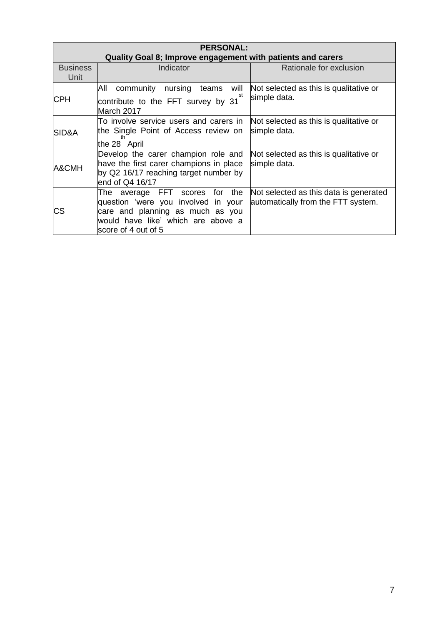| <b>PERSONAL:</b><br>Quality Goal 8; Improve engagement with patients and carers |                                                                                                                                                                                 |                                                                              |
|---------------------------------------------------------------------------------|---------------------------------------------------------------------------------------------------------------------------------------------------------------------------------|------------------------------------------------------------------------------|
| <b>Business</b><br>Unit                                                         | Indicator                                                                                                                                                                       | Rationale for exclusion                                                      |
| CPH                                                                             | All<br>community<br>nursing<br>will<br>teams<br>st<br>contribute to the FFT survey by 31<br>March 2017                                                                          | Not selected as this is qualitative or<br>simple data.                       |
| SID&A                                                                           | To involve service users and carers in<br>the Single Point of Access review on<br>the 28 April                                                                                  | Not selected as this is qualitative or<br>simple data.                       |
| A&CMH                                                                           | Develop the carer champion role and<br>have the first carer champions in place<br>by Q2 16/17 reaching target number by<br>end of Q4 16/17                                      | Not selected as this is qualitative or<br>simple data.                       |
| СS                                                                              | average FFT scores<br>the<br>for<br>The<br>question 'were you involved in your<br>care and planning as much as you<br>would have like' which are above a<br>score of 4 out of 5 | Not selected as this data is generated<br>automatically from the FTT system. |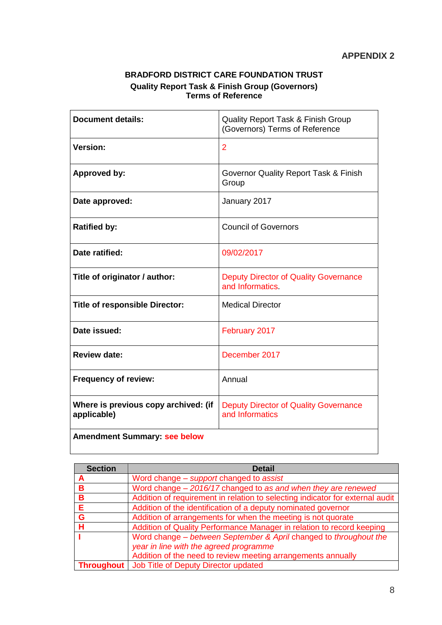### **BRADFORD DISTRICT CARE FOUNDATION TRUST Quality Report Task & Finish Group (Governors) Terms of Reference**

| <b>Document details:</b>                            | <b>Quality Report Task &amp; Finish Group</b><br>(Governors) Terms of Reference |
|-----------------------------------------------------|---------------------------------------------------------------------------------|
| <b>Version:</b>                                     | 2                                                                               |
| Approved by:                                        | <b>Governor Quality Report Task &amp; Finish</b><br>Group                       |
| Date approved:                                      | January 2017                                                                    |
| <b>Ratified by:</b>                                 | <b>Council of Governors</b>                                                     |
| Date ratified:                                      | 09/02/2017                                                                      |
| Title of originator / author:                       | <b>Deputy Director of Quality Governance</b><br>and Informatics                 |
| <b>Title of responsible Director:</b>               | <b>Medical Director</b>                                                         |
| Date issued:                                        | February 2017                                                                   |
| <b>Review date:</b>                                 | December 2017                                                                   |
| <b>Frequency of review:</b>                         | Annual                                                                          |
| Where is previous copy archived: (if<br>applicable) | <b>Deputy Director of Quality Governance</b><br>and Informatics                 |
| <b>Amendment Summary: see below</b>                 |                                                                                 |

| <b>Section</b> | <b>Detail</b>                                                                 |
|----------------|-------------------------------------------------------------------------------|
|                | Word change – support changed to assist                                       |
| B.             | Word change - 2016/17 changed to as and when they are renewed                 |
| в              | Addition of requirement in relation to selecting indicator for external audit |
| Е              | Addition of the identification of a deputy nominated governor                 |
| G              | Addition of arrangements for when the meeting is not quorate                  |
| н              | Addition of Quality Performance Manager in relation to record keeping         |
|                | Word change – between September & April changed to throughout the             |
|                | year in line with the agreed programme                                        |
|                | Addition of the need to review meeting arrangements annually                  |
|                | <b>Throughout</b>   Job Title of Deputy Director updated                      |